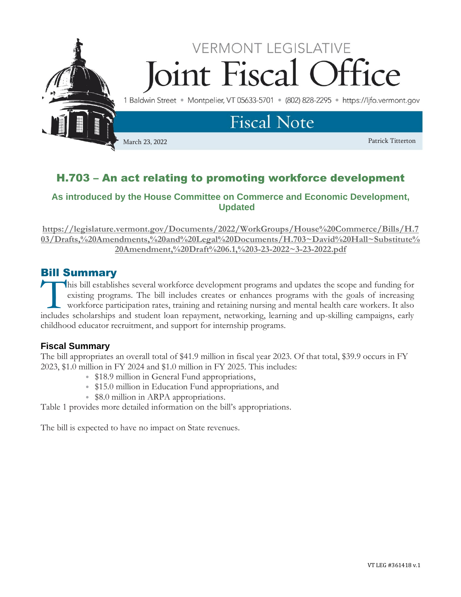

## H.703 – An act relating to promoting workforce development

### **As introduced by the House Committee on Commerce and Economic Development, Updated**

**[https://legislature.vermont.gov/Documents/2022/WorkGroups/House%20Commerce/Bills/H.7](https://legislature.vermont.gov/Documents/2022/WorkGroups/House%20Commerce/Bills/H.703/Drafts,%20Amendments,%20and%20Legal%20Documents/H.703~David%20Hall~Substitute%20Amendment,%20Draft%206.1,%203-23-2022~3-23-2022.pdf) [03/Drafts,%20Amendments,%20and%20Legal%20Documents/H.703~David%20Hall~Substitute%](https://legislature.vermont.gov/Documents/2022/WorkGroups/House%20Commerce/Bills/H.703/Drafts,%20Amendments,%20and%20Legal%20Documents/H.703~David%20Hall~Substitute%20Amendment,%20Draft%206.1,%203-23-2022~3-23-2022.pdf) [20Amendment,%20Draft%206.1,%203-23-2022~3-23-2022.pdf](https://legislature.vermont.gov/Documents/2022/WorkGroups/House%20Commerce/Bills/H.703/Drafts,%20Amendments,%20and%20Legal%20Documents/H.703~David%20Hall~Substitute%20Amendment,%20Draft%206.1,%203-23-2022~3-23-2022.pdf)**

## Bill Summary

his bill establishes several workforce development programs and updates the scope and funding for existing programs. The bill includes creates or enhances programs with the goals of increasing workforce participation rates, training and retaining nursing and mental health care workers. It also This bill establishes several workforce development programs and updates the scope and funding for existing programs. The bill includes creates or enhances programs with the goals of increasing workforce participation rate childhood educator recruitment, and support for internship programs.

#### **Fiscal Summary**

The bill appropriates an overall total of \$41.9 million in fiscal year 2023. Of that total, \$39.9 occurs in FY 2023, \$1.0 million in FY 2024 and \$1.0 million in FY 2025. This includes:

- \$18.9 million in General Fund appropriations,
- \$15.0 million in Education Fund appropriations, and
- \$8.0 million in ARPA appropriations.

Table 1 provides more detailed information on the bill's appropriations.

The bill is expected to have no impact on State revenues.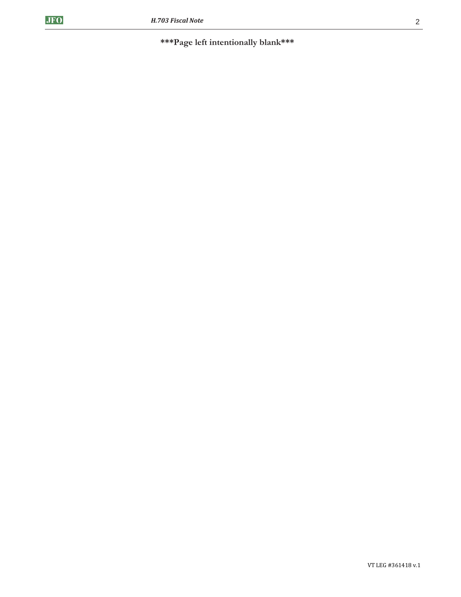# **\*\*\*Page left intentionally blank\*\*\***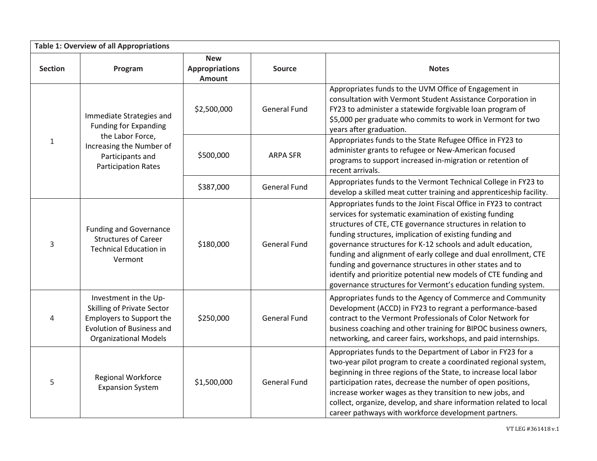| <b>Table 1: Overview of all Appropriations</b> |                                                                                                                                                            |                                                      |                     |                                                                                                                                                                                                                                                                                                                                                                                                                                                                                                                                                                                          |
|------------------------------------------------|------------------------------------------------------------------------------------------------------------------------------------------------------------|------------------------------------------------------|---------------------|------------------------------------------------------------------------------------------------------------------------------------------------------------------------------------------------------------------------------------------------------------------------------------------------------------------------------------------------------------------------------------------------------------------------------------------------------------------------------------------------------------------------------------------------------------------------------------------|
| <b>Section</b>                                 | Program                                                                                                                                                    | <b>New</b><br><b>Appropriations</b><br><b>Amount</b> | <b>Source</b>       | <b>Notes</b>                                                                                                                                                                                                                                                                                                                                                                                                                                                                                                                                                                             |
| $\mathbf{1}$                                   | Immediate Strategies and<br><b>Funding for Expanding</b><br>the Labor Force,<br>Increasing the Number of<br>Participants and<br><b>Participation Rates</b> | \$2,500,000                                          | <b>General Fund</b> | Appropriates funds to the UVM Office of Engagement in<br>consultation with Vermont Student Assistance Corporation in<br>FY23 to administer a statewide forgivable loan program of<br>\$5,000 per graduate who commits to work in Vermont for two<br>years after graduation.                                                                                                                                                                                                                                                                                                              |
|                                                |                                                                                                                                                            | \$500,000                                            | ARPA SFR            | Appropriates funds to the State Refugee Office in FY23 to<br>administer grants to refugee or New-American focused<br>programs to support increased in-migration or retention of<br>recent arrivals.                                                                                                                                                                                                                                                                                                                                                                                      |
|                                                |                                                                                                                                                            | \$387,000                                            | <b>General Fund</b> | Appropriates funds to the Vermont Technical College in FY23 to<br>develop a skilled meat cutter training and apprenticeship facility.                                                                                                                                                                                                                                                                                                                                                                                                                                                    |
| 3                                              | <b>Funding and Governance</b><br><b>Structures of Career</b><br><b>Technical Education in</b><br>Vermont                                                   | \$180,000                                            | <b>General Fund</b> | Appropriates funds to the Joint Fiscal Office in FY23 to contract<br>services for systematic examination of existing funding<br>structures of CTE, CTE governance structures in relation to<br>funding structures, implication of existing funding and<br>governance structures for K-12 schools and adult education,<br>funding and alignment of early college and dual enrollment, CTE<br>funding and governance structures in other states and to<br>identify and prioritize potential new models of CTE funding and<br>governance structures for Vermont's education funding system. |
| 4                                              | Investment in the Up-<br>Skilling of Private Sector<br><b>Employers to Support the</b><br><b>Evolution of Business and</b><br><b>Organizational Models</b> | \$250,000                                            | <b>General Fund</b> | Appropriates funds to the Agency of Commerce and Community<br>Development (ACCD) in FY23 to regrant a performance-based<br>contract to the Vermont Professionals of Color Network for<br>business coaching and other training for BIPOC business owners,<br>networking, and career fairs, workshops, and paid internships.                                                                                                                                                                                                                                                               |
| 5                                              | Regional Workforce<br><b>Expansion System</b>                                                                                                              | \$1,500,000                                          | <b>General Fund</b> | Appropriates funds to the Department of Labor in FY23 for a<br>two-year pilot program to create a coordinated regional system,<br>beginning in three regions of the State, to increase local labor<br>participation rates, decrease the number of open positions,<br>increase worker wages as they transition to new jobs, and<br>collect, organize, develop, and share information related to local<br>career pathways with workforce development partners.                                                                                                                             |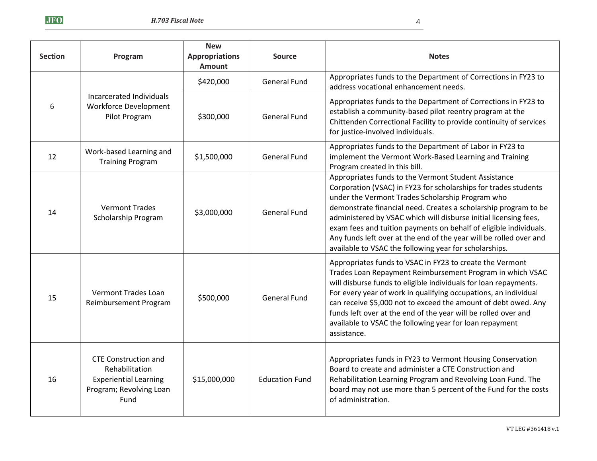| <b>Section</b> | Program                                                                                                          | <b>New</b><br><b>Appropriations</b><br><b>Amount</b> | <b>Source</b>         | <b>Notes</b>                                                                                                                                                                                                                                                                                                                                                                                                                                                                                                            |
|----------------|------------------------------------------------------------------------------------------------------------------|------------------------------------------------------|-----------------------|-------------------------------------------------------------------------------------------------------------------------------------------------------------------------------------------------------------------------------------------------------------------------------------------------------------------------------------------------------------------------------------------------------------------------------------------------------------------------------------------------------------------------|
| 6              | Incarcerated Individuals<br><b>Workforce Development</b><br>Pilot Program                                        | \$420,000                                            | <b>General Fund</b>   | Appropriates funds to the Department of Corrections in FY23 to<br>address vocational enhancement needs.                                                                                                                                                                                                                                                                                                                                                                                                                 |
|                |                                                                                                                  | \$300,000                                            | <b>General Fund</b>   | Appropriates funds to the Department of Corrections in FY23 to<br>establish a community-based pilot reentry program at the<br>Chittenden Correctional Facility to provide continuity of services<br>for justice-involved individuals.                                                                                                                                                                                                                                                                                   |
| 12             | Work-based Learning and<br><b>Training Program</b>                                                               | \$1,500,000                                          | <b>General Fund</b>   | Appropriates funds to the Department of Labor in FY23 to<br>implement the Vermont Work-Based Learning and Training<br>Program created in this bill.                                                                                                                                                                                                                                                                                                                                                                     |
| 14             | <b>Vermont Trades</b><br><b>Scholarship Program</b>                                                              | \$3,000,000                                          | <b>General Fund</b>   | Appropriates funds to the Vermont Student Assistance<br>Corporation (VSAC) in FY23 for scholarships for trades students<br>under the Vermont Trades Scholarship Program who<br>demonstrate financial need. Creates a scholarship program to be<br>administered by VSAC which will disburse initial licensing fees,<br>exam fees and tuition payments on behalf of eligible individuals.<br>Any funds left over at the end of the year will be rolled over and<br>available to VSAC the following year for scholarships. |
| 15             | <b>Vermont Trades Loan</b><br>Reimbursement Program                                                              | \$500,000                                            | <b>General Fund</b>   | Appropriates funds to VSAC in FY23 to create the Vermont<br>Trades Loan Repayment Reimbursement Program in which VSAC<br>will disburse funds to eligible individuals for loan repayments.<br>For every year of work in qualifying occupations, an individual<br>can receive \$5,000 not to exceed the amount of debt owed. Any<br>funds left over at the end of the year will be rolled over and<br>available to VSAC the following year for loan repayment<br>assistance.                                              |
| 16             | <b>CTE Construction and</b><br>Rehabilitation<br><b>Experiential Learning</b><br>Program; Revolving Loan<br>Fund | \$15,000,000                                         | <b>Education Fund</b> | Appropriates funds in FY23 to Vermont Housing Conservation<br>Board to create and administer a CTE Construction and<br>Rehabilitation Learning Program and Revolving Loan Fund. The<br>board may not use more than 5 percent of the Fund for the costs<br>of administration.                                                                                                                                                                                                                                            |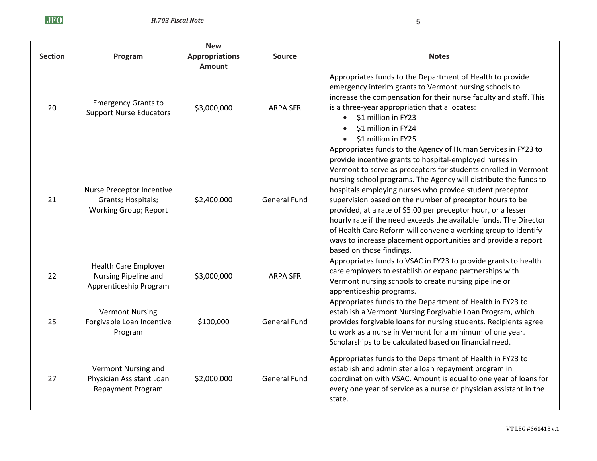| <b>Section</b> | Program                                                                         | <b>New</b><br><b>Appropriations</b><br><b>Amount</b> | <b>Source</b>       | <b>Notes</b>                                                                                                                                                                                                                                                                                                                                                                                                                                                                                                                                                                                                                                                                                 |
|----------------|---------------------------------------------------------------------------------|------------------------------------------------------|---------------------|----------------------------------------------------------------------------------------------------------------------------------------------------------------------------------------------------------------------------------------------------------------------------------------------------------------------------------------------------------------------------------------------------------------------------------------------------------------------------------------------------------------------------------------------------------------------------------------------------------------------------------------------------------------------------------------------|
| 20             | <b>Emergency Grants to</b><br><b>Support Nurse Educators</b>                    | \$3,000,000                                          | <b>ARPA SFR</b>     | Appropriates funds to the Department of Health to provide<br>emergency interim grants to Vermont nursing schools to<br>increase the compensation for their nurse faculty and staff. This<br>is a three-year appropriation that allocates:<br>\$1 million in FY23<br>$\bullet$<br>\$1 million in FY24<br>\$1 million in FY25<br>$\bullet$                                                                                                                                                                                                                                                                                                                                                     |
| 21             | Nurse Preceptor Incentive<br>Grants; Hospitals;<br><b>Working Group; Report</b> | \$2,400,000                                          | <b>General Fund</b> | Appropriates funds to the Agency of Human Services in FY23 to<br>provide incentive grants to hospital-employed nurses in<br>Vermont to serve as preceptors for students enrolled in Vermont<br>nursing school programs. The Agency will distribute the funds to<br>hospitals employing nurses who provide student preceptor<br>supervision based on the number of preceptor hours to be<br>provided, at a rate of \$5.00 per preceptor hour, or a lesser<br>hourly rate if the need exceeds the available funds. The Director<br>of Health Care Reform will convene a working group to identify<br>ways to increase placement opportunities and provide a report<br>based on those findings. |
| 22             | <b>Health Care Employer</b><br>Nursing Pipeline and<br>Apprenticeship Program   | \$3,000,000                                          | <b>ARPA SFR</b>     | Appropriates funds to VSAC in FY23 to provide grants to health<br>care employers to establish or expand partnerships with<br>Vermont nursing schools to create nursing pipeline or<br>apprenticeship programs.                                                                                                                                                                                                                                                                                                                                                                                                                                                                               |
| 25             | <b>Vermont Nursing</b><br>Forgivable Loan Incentive<br>Program                  | \$100,000                                            | <b>General Fund</b> | Appropriates funds to the Department of Health in FY23 to<br>establish a Vermont Nursing Forgivable Loan Program, which<br>provides forgivable loans for nursing students. Recipients agree<br>to work as a nurse in Vermont for a minimum of one year.<br>Scholarships to be calculated based on financial need.                                                                                                                                                                                                                                                                                                                                                                            |
| 27             | Vermont Nursing and<br>Physician Assistant Loan<br><b>Repayment Program</b>     | \$2,000,000                                          | <b>General Fund</b> | Appropriates funds to the Department of Health in FY23 to<br>establish and administer a loan repayment program in<br>coordination with VSAC. Amount is equal to one year of loans for<br>every one year of service as a nurse or physician assistant in the<br>state.                                                                                                                                                                                                                                                                                                                                                                                                                        |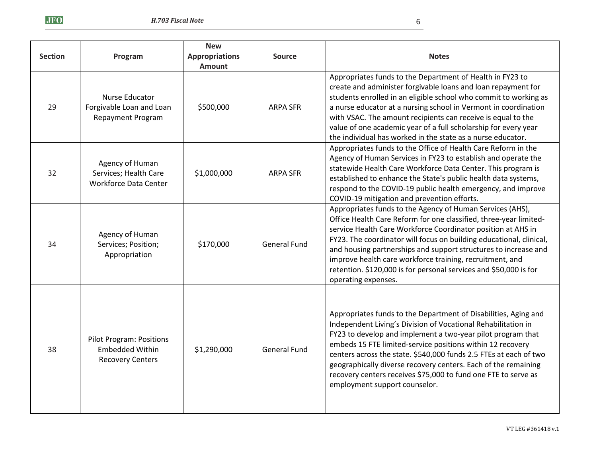| <b>Section</b> | Program                                                                              | <b>New</b><br><b>Appropriations</b><br><b>Amount</b> | <b>Source</b>       | <b>Notes</b>                                                                                                                                                                                                                                                                                                                                                                                                                                                                                            |
|----------------|--------------------------------------------------------------------------------------|------------------------------------------------------|---------------------|---------------------------------------------------------------------------------------------------------------------------------------------------------------------------------------------------------------------------------------------------------------------------------------------------------------------------------------------------------------------------------------------------------------------------------------------------------------------------------------------------------|
| 29             | Nurse Educator<br>Forgivable Loan and Loan<br><b>Repayment Program</b>               | \$500,000                                            | <b>ARPA SFR</b>     | Appropriates funds to the Department of Health in FY23 to<br>create and administer forgivable loans and loan repayment for<br>students enrolled in an eligible school who commit to working as<br>a nurse educator at a nursing school in Vermont in coordination<br>with VSAC. The amount recipients can receive is equal to the<br>value of one academic year of a full scholarship for every year<br>the individual has worked in the state as a nurse educator.                                     |
| 32             | Agency of Human<br>Services; Health Care<br><b>Workforce Data Center</b>             | \$1,000,000                                          | <b>ARPA SFR</b>     | Appropriates funds to the Office of Health Care Reform in the<br>Agency of Human Services in FY23 to establish and operate the<br>statewide Health Care Workforce Data Center. This program is<br>established to enhance the State's public health data systems,<br>respond to the COVID-19 public health emergency, and improve<br>COVID-19 mitigation and prevention efforts.                                                                                                                         |
| 34             | Agency of Human<br>Services; Position;<br>Appropriation                              | \$170,000                                            | <b>General Fund</b> | Appropriates funds to the Agency of Human Services (AHS),<br>Office Health Care Reform for one classified, three-year limited-<br>service Health Care Workforce Coordinator position at AHS in<br>FY23. The coordinator will focus on building educational, clinical,<br>and housing partnerships and support structures to increase and<br>improve health care workforce training, recruitment, and<br>retention. \$120,000 is for personal services and \$50,000 is for<br>operating expenses.        |
| 38             | <b>Pilot Program: Positions</b><br><b>Embedded Within</b><br><b>Recovery Centers</b> | \$1,290,000                                          | <b>General Fund</b> | Appropriates funds to the Department of Disabilities, Aging and<br>Independent Living's Division of Vocational Rehabilitation in<br>FY23 to develop and implement a two-year pilot program that<br>embeds 15 FTE limited-service positions within 12 recovery<br>centers across the state. \$540,000 funds 2.5 FTEs at each of two<br>geographically diverse recovery centers. Each of the remaining<br>recovery centers receives \$75,000 to fund one FTE to serve as<br>employment support counselor. |